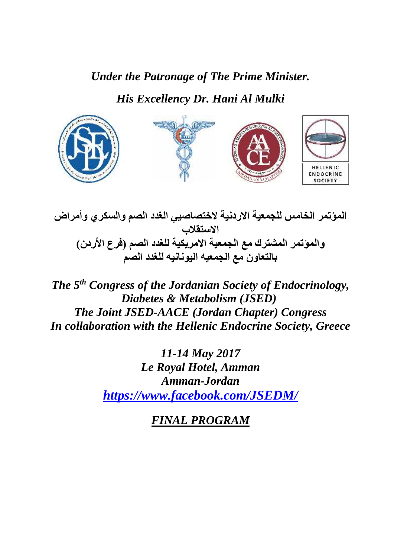*Under the Patronage of The Prime Minister.*

*His Excellency Dr. Hani Al Mulki*



*المؤتمر الخامس للجمعیة الاردنیة لاختصاصیي الغدد الصم والسكري وأمراض الاستقلاب والمؤتمر المشترك مع الجمعیة الامریكیة للغدد الصم (فرع الأردن) بالتعاون مع الجمعیھ الیونانیھ للغدد الصم*

*Congress of the Jordanian Society of Endocrinology, Diabetes & Metabolism (JSED) The Joint JSED-AACE (Jordan Chapter) Congress In collaboration with the Hellenic Endocrine Society, Greece*

> *11-14 May 2017 Le Royal Hotel, Amman Amman-Jordan https://www.facebook.com/JSEDM/*

> > *FINAL PROGRAM*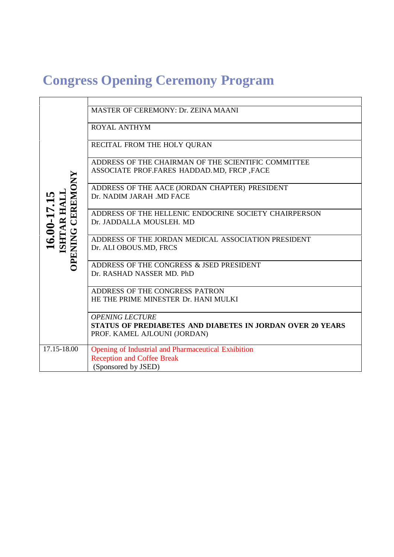# **Congress Opening Ceremony Program**

| CEREMONY<br>$16.00-17.15$ ISHTAR HALL<br><b>PENING</b> | MASTER OF CEREMONY: Dr. ZEINA MAANI<br><b>ROYAL ANTHYM</b><br>RECITAL FROM THE HOLY QURAN<br>ADDRESS OF THE CHAIRMAN OF THE SCIENTIFIC COMMITTEE<br>ASSOCIATE PROF.FARES HADDAD. MD, FRCP, FACE<br>ADDRESS OF THE AACE (JORDAN CHAPTER) PRESIDENT<br>Dr. NADIM JARAH .MD FACE<br>ADDRESS OF THE HELLENIC ENDOCRINE SOCIETY CHAIRPERSON |
|--------------------------------------------------------|----------------------------------------------------------------------------------------------------------------------------------------------------------------------------------------------------------------------------------------------------------------------------------------------------------------------------------------|
|                                                        | Dr. JADDALLA MOUSLEH. MD<br>ADDRESS OF THE JORDAN MEDICAL ASSOCIATION PRESIDENT<br>Dr. ALI OBOUS.MD, FRCS                                                                                                                                                                                                                              |
|                                                        | ADDRESS OF THE CONGRESS & JSED PRESIDENT<br>Dr. RASHAD NASSER MD. PhD<br>ADDRESS OF THE CONGRESS PATRON                                                                                                                                                                                                                                |
|                                                        | HE THE PRIME MINESTER Dr. HANI MULKI<br><b>OPENING LECTURE</b><br><b>STATUS OF PREDIABETES AND DIABETES IN JORDAN OVER 20 YEARS</b><br>PROF. KAMEL AJLOUNI (JORDAN)                                                                                                                                                                    |
| 17.15-18.00                                            | Opening of Industrial and Pharmaceutical Exhibition<br><b>Reception and Coffee Break</b><br>(Sponsored by JSED)                                                                                                                                                                                                                        |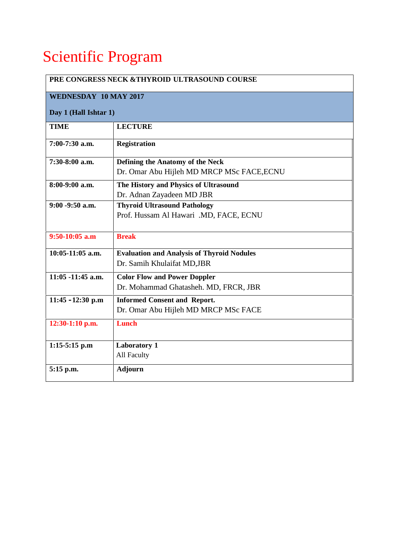# Scientific Program

| PRE CONGRESS NECK & THYROID ULTRASOUND COURSE |                                                   |  |
|-----------------------------------------------|---------------------------------------------------|--|
| <b>WEDNESDAY 10 MAY 2017</b>                  |                                                   |  |
| Day 1 (Hall Ishtar 1)                         |                                                   |  |
| <b>TIME</b>                                   | <b>LECTURE</b>                                    |  |
| 7:00-7:30 a.m.                                | <b>Registration</b>                               |  |
| 7:30-8:00 a.m.                                | Defining the Anatomy of the Neck                  |  |
|                                               | Dr. Omar Abu Hijleh MD MRCP MSc FACE, ECNU        |  |
| 8:00-9:00 a.m.                                | The History and Physics of Ultrasound             |  |
|                                               | Dr. Adnan Zayadeen MD JBR                         |  |
| $9:00 - 9:50$ a.m.                            | <b>Thyroid Ultrasound Pathology</b>               |  |
|                                               | Prof. Hussam Al Hawari .MD, FACE, ECNU            |  |
|                                               |                                                   |  |
| $9:50-10:05$ a.m                              | <b>Break</b>                                      |  |
| $10:05-11:05$ a.m.                            | <b>Evaluation and Analysis of Thyroid Nodules</b> |  |
|                                               | Dr. Samih Khulaifat MD, JBR                       |  |
| $11:05 - 11:45$ a.m.                          | <b>Color Flow and Power Doppler</b>               |  |
|                                               | Dr. Mohammad Ghatasheh. MD, FRCR, JBR             |  |
| 11:45 $-12:30$ p.m                            | <b>Informed Consent and Report.</b>               |  |
|                                               | Dr. Omar Abu Hijleh MD MRCP MSc FACE              |  |
| 12:30-1:10 p.m.                               | <b>Lunch</b>                                      |  |
|                                               |                                                   |  |
| $1:15-5:15$ p.m                               | <b>Laboratory 1</b>                               |  |
|                                               | All Faculty                                       |  |
| 5:15 p.m.                                     | <b>Adjourn</b>                                    |  |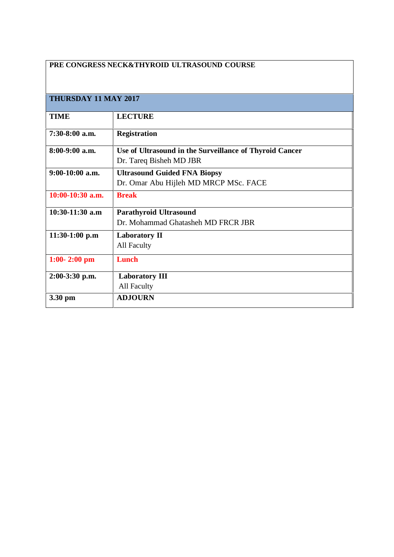| PRE CONGRESS NECK&THYROID ULTRASOUND COURSE |                                                         |  |
|---------------------------------------------|---------------------------------------------------------|--|
|                                             |                                                         |  |
| THURSDAY 11 MAY 2017                        |                                                         |  |
| <b>TIME</b>                                 | <b>LECTURE</b>                                          |  |
| $7:30-8:00$ a.m.                            | <b>Registration</b>                                     |  |
| $8:00-9:00$ a.m.                            | Use of Ultrasound in the Surveillance of Thyroid Cancer |  |
|                                             | Dr. Tareq Bisheh MD JBR                                 |  |
| $9:00-10:00$ a.m.                           | <b>Ultrasound Guided FNA Biopsy</b>                     |  |
|                                             | Dr. Omar Abu Hijleh MD MRCP MSc. FACE                   |  |
| $10:00-10:30$ a.m.                          | <b>Break</b>                                            |  |
| $10:30-11:30$ a.m                           | <b>Parathyroid Ultrasound</b>                           |  |
|                                             | Dr. Mohammad Ghatasheh MD FRCR JBR                      |  |
| $11:30-1:00$ p.m                            | <b>Laboratory II</b>                                    |  |
|                                             | All Faculty                                             |  |
| $1:00 - 2:00$ pm                            | <b>Lunch</b>                                            |  |
| 2:00-3:30 p.m.                              | <b>Laboratory III</b>                                   |  |
|                                             | All Faculty                                             |  |
| 3.30 pm                                     | <b>ADJOURN</b>                                          |  |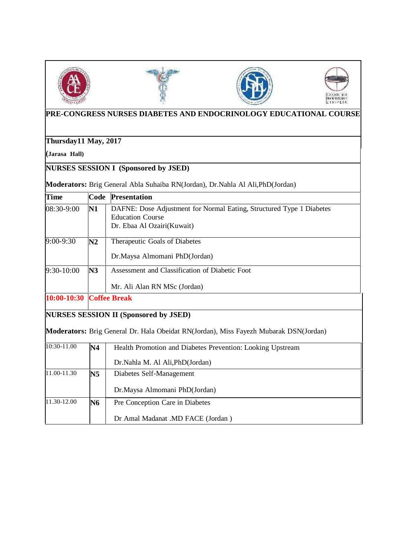







## **PRE-CONGRESS NURSES DIABETES AND ENDOCRINOLOGY EDUCATIONAL COURSE**

**Thursday11 May, 2017**

**(Jarasa Hall)**

**NURSES SESSION I (Sponsored by JSED)**

Moderators: Brig General Abla Suhaiba RN(Jordan), Dr.Nahla Al Ali, PhD(Jordan)

| <b>Time</b> | Code                | <b>Presentation</b>                                                                                                           |  |
|-------------|---------------------|-------------------------------------------------------------------------------------------------------------------------------|--|
| 08:30-9:00  | $\mathbf{N1}$       | DAFNE: Dose Adjustment for Normal Eating, Structured Type 1 Diabetes<br><b>Education Course</b><br>Dr. Ebaa Al Ozairi(Kuwait) |  |
| 9:00-9:30   | N2                  | Therapeutic Goals of Diabetes<br>Dr.Maysa Almomani PhD(Jordan)                                                                |  |
| 9:30-10:00  | N3                  | Assessment and Classification of Diabetic Foot<br>Mr. Ali Alan RN MSc (Jordan)                                                |  |
| 10:00-10:30 | <b>Coffee Break</b> |                                                                                                                               |  |
|             |                     | NURSES SESSION II (Sponsored by JSED)                                                                                         |  |
|             |                     | Moderators: Brig General Dr. Hala Obeidat RN(Jordan), Miss Fayezh Mubarak DSN(Jordan)                                         |  |
| 10:30-11.00 | N4                  | Health Promotion and Diabetes Prevention: Looking Upstream<br>Dr.Nahla M. Al Ali, PhD(Jordan)                                 |  |
| 11.00-11.30 | N5                  | Diabetes Self-Management<br>Dr.Maysa Almomani PhD(Jordan)                                                                     |  |
| 11.30-12.00 | <b>N6</b>           | Pre Conception Care in Diabetes<br>Dr Amal Madanat .MD FACE (Jordan)                                                          |  |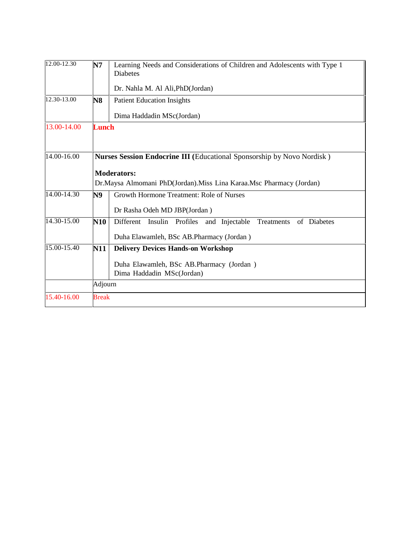| 12.00-12.30     | N7                                                                  | Learning Needs and Considerations of Children and Adolescents with Type 1<br><b>Diabetes</b> |  |
|-----------------|---------------------------------------------------------------------|----------------------------------------------------------------------------------------------|--|
|                 |                                                                     | Dr. Nahla M. Al Ali, PhD(Jordan)                                                             |  |
| 12.30-13.00     | N8                                                                  | <b>Patient Education Insights</b>                                                            |  |
|                 |                                                                     | Dima Haddadin MSc(Jordan)                                                                    |  |
| 13.00-14.00     | <b>Lunch</b>                                                        |                                                                                              |  |
|                 |                                                                     |                                                                                              |  |
| 14.00-16.00     |                                                                     | Nurses Session Endocrine III (Educational Sponsorship by Novo Nordisk)                       |  |
|                 | <b>Moderators:</b>                                                  |                                                                                              |  |
|                 | Dr.Maysa Almomani PhD(Jordan).Miss Lina Karaa.Msc Pharmacy (Jordan) |                                                                                              |  |
| 14.00-14.30     | N9                                                                  | Growth Hormone Treatment: Role of Nurses                                                     |  |
|                 |                                                                     | Dr Rasha Odeh MD JBP(Jordan)                                                                 |  |
| 14.30-15.00     | N10                                                                 | Different<br>Insulin<br>Profiles<br>and Injectable<br>Treatments<br>of Diabetes              |  |
|                 |                                                                     | Duha Elawamleh, BSc AB.Pharmacy (Jordan)                                                     |  |
| $15.00 - 15.40$ | N11                                                                 | <b>Delivery Devices Hands-on Workshop</b>                                                    |  |
|                 |                                                                     | Duha Elawamleh, BSc AB.Pharmacy (Jordan)<br>Dima Haddadin MSc(Jordan)                        |  |
|                 | Adjourn                                                             |                                                                                              |  |
| 15.40-16.00     | <b>Break</b>                                                        |                                                                                              |  |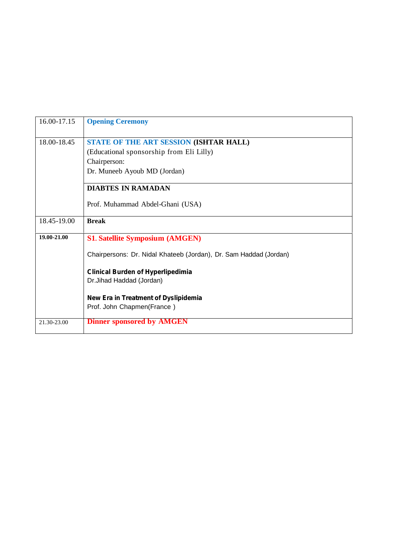| 16.00-17.15 | <b>Opening Ceremony</b>                                           |
|-------------|-------------------------------------------------------------------|
| 18.00-18.45 | STATE OF THE ART SESSION (ISHTAR HALL)                            |
|             | (Educational sponsorship from Eli Lilly)                          |
|             | Chairperson:                                                      |
|             | Dr. Muneeb Ayoub MD (Jordan)                                      |
|             | <b>DIABTES IN RAMADAN</b>                                         |
|             | Prof. Muhammad Abdel-Ghani (USA)                                  |
| 18.45-19.00 | <b>Break</b>                                                      |
| 19.00-21.00 | <b>S1. Satellite Symposium (AMGEN)</b>                            |
|             | Chairpersons: Dr. Nidal Khateeb (Jordan), Dr. Sam Haddad (Jordan) |
|             | <b>Clinical Burden of Hyperlipedimia</b>                          |
|             | Dr.Jihad Haddad (Jordan)                                          |
|             | New Era in Treatment of Dyslipidemia                              |
|             | Prof. John Chapmen(France)                                        |
| 21.30-23.00 | <b>Dinner sponsored by AMGEN</b>                                  |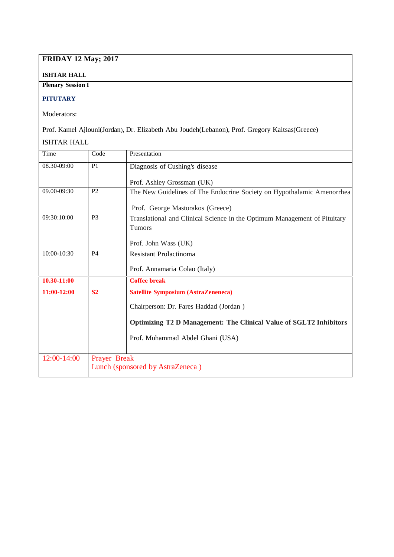## **FRIDAY 12 May; 2017**

### **ISHTAR HALL**

**Plenary Session I**

## **PITUTARY**

Moderators:

Prof. Kamel Ajlouni(Jordan), Dr. Elizabeth Abu Joudeh(Lebanon), Prof. Gregory Kaltsas(Greece)

| <b>ISHTAR HALL</b> |                |                                                                           |
|--------------------|----------------|---------------------------------------------------------------------------|
| Time               | Code           | Presentation                                                              |
| 08.30-09:00        | P <sub>1</sub> | Diagnosis of Cushing's disease                                            |
|                    |                | Prof. Ashley Grossman (UK)                                                |
| 09.00-09:30        | P <sub>2</sub> | The New Guidelines of The Endocrine Society on Hypothalamic Amenorrhea    |
|                    |                | Prof. George Mastorakos (Greece)                                          |
| 09:30:10:00        | P <sub>3</sub> | Translational and Clinical Science in the Optimum Management of Pituitary |
|                    |                | <b>Tumors</b>                                                             |
|                    |                | Prof. John Wass (UK)                                                      |
| 10:00-10:30        | <b>P4</b>      | Resistant Prolactinoma                                                    |
|                    |                | Prof. Annamaria Colao (Italy)                                             |
| 10.30-11:00        |                | <b>Coffee break</b>                                                       |
| 11:00-12:00        | S <sub>2</sub> | <b>Satellite Symposium (AstraZeneneca)</b>                                |
|                    |                | Chairperson: Dr. Fares Haddad (Jordan)                                    |
|                    |                | Optimizing T2 D Management: The Clinical Value of SGLT2 Inhibitors        |
|                    |                | Prof. Muhammad Abdel Ghani (USA)                                          |
|                    |                |                                                                           |
| 12:00-14:00        | Prayer Break   | Lunch (sponsored by AstraZeneca)                                          |
|                    |                |                                                                           |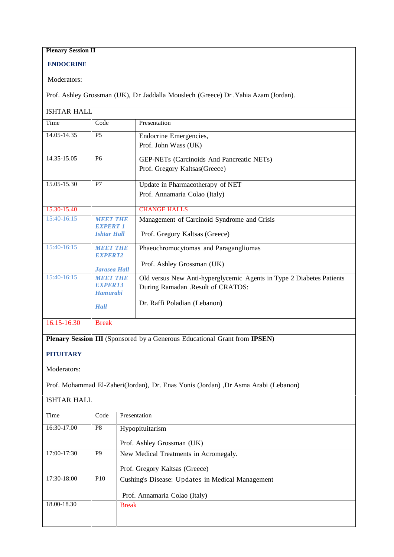## **Plenary Session II**

## **ENDOCRINE**

Moderators:

Prof. Ashley Grossman (UK), Dr Jaddalla Mouslech (Greece) Dr .Yahia Azam (Jordan).

| <b>ISHTAR HALL</b> |                                                              |                                                                                                                                           |
|--------------------|--------------------------------------------------------------|-------------------------------------------------------------------------------------------------------------------------------------------|
| Time               | Code                                                         | Presentation                                                                                                                              |
| 14.05-14.35        | P <sub>5</sub>                                               | Endocrine Emergencies,<br>Prof. John Wass (UK)                                                                                            |
| 14.35-15.05        | <b>P6</b>                                                    | GEP-NETs (Carcinoids And Pancreatic NETs)<br>Prof. Gregory Kaltsas(Greece)                                                                |
| 15.05-15.30        | P7                                                           | Update in Pharmacotherapy of NET<br>Prof. Annamaria Colao (Italy)                                                                         |
| 15.30-15.40        |                                                              | <b>CHANGE HALLS</b>                                                                                                                       |
| 15:40-16:15        | МЕЕТ ТНЕ<br><b>EXPERT 1</b><br><b>Ishtar Hall</b>            | Management of Carcinoid Syndrome and Crisis<br>Prof. Gregory Kaltsas (Greece)                                                             |
| 15:40-16:15        | МЕЕТ ТНЕ<br><b>EXPERT2</b><br><b>Jarasea Hall</b>            | Phaeochromocytomas and Paragangliomas<br>Prof. Ashley Grossman (UK)                                                                       |
| 15:40-16:15        | MEET THE<br><b>EXPERTS</b><br><b>Hamurabi</b><br><b>Hall</b> | Old versus New Anti-hyperglycemic Agents in Type 2 Diabetes Patients<br>During Ramadan .Result of CRATOS:<br>Dr. Raffi Poladian (Lebanon) |
| 16.15-16.30        | <b>Break</b>                                                 |                                                                                                                                           |

**Plenary Session III** (Sponsored by a Generous Educational Grant from **IPSEN**)

#### **PITUITARY**

Moderators:

Prof. Mohammad El-Zaheri(Jordan), Dr. Enas Yonis (Jordan) ,Dr Asma Arabi (Lebanon)

| Time        | Code           | Presentation                                     |
|-------------|----------------|--------------------------------------------------|
| 16:30-17.00 | P8             | Hypopituitarism                                  |
|             |                | Prof. Ashley Grossman (UK)                       |
| 17:00-17:30 | P <sub>9</sub> | New Medical Treatments in Acromegaly.            |
|             |                | Prof. Gregory Kaltsas (Greece)                   |
| 17:30-18:00 | <b>P10</b>     | Cushing's Disease: Updates in Medical Management |
|             |                | Prof. Annamaria Colao (Italy)                    |
| 18.00-18.30 |                | <b>Break</b>                                     |
|             |                |                                                  |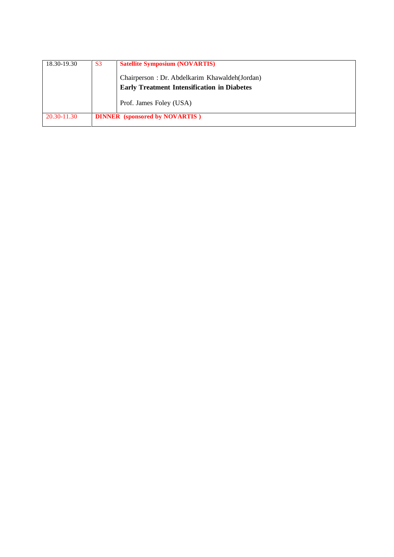| 18.30-19.30 | S <sub>3</sub> | <b>Satellite Symposium (NOVARTIS)</b>              |
|-------------|----------------|----------------------------------------------------|
|             |                | Chairperson: Dr. Abdelkarim Khawaldeh (Jordan)     |
|             |                | <b>Early Treatment Intensification in Diabetes</b> |
|             |                | Prof. James Foley (USA)                            |
| 20.30-11.30 |                | <b>DINNER</b> (sponsored by NOVARTIS)              |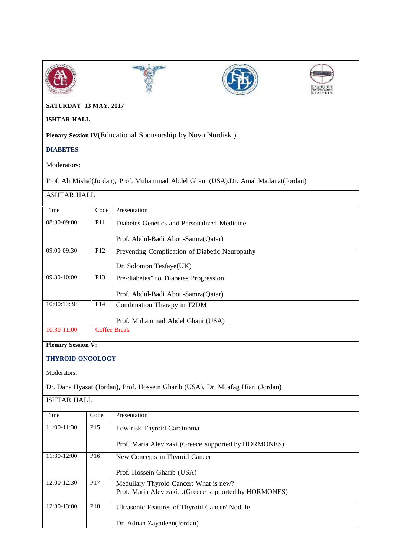







## **SATURDAY 13 MAY, 2017**

## **ISHTAR HALL**

**Plenary Session IV**(Educational Sponsorship by Novo Nordisk )

## **DIABETES**

Moderators:

Prof. Ali Mishal(Jordan), Prof. Muhammad Abdel Ghani (USA).Dr. Amal Madanat(Jordan)

## ASHTAR HALL

| Time            | Code            | Presentation                                   |
|-----------------|-----------------|------------------------------------------------|
| 08:30-09:00     | <b>P11</b>      | Diabetes Genetics and Personalized Medicine    |
|                 |                 | Prof. Abdul-Badi Abou-Samra (Qatar)            |
| 09.00-09:30     | P <sub>12</sub> | Preventing Complication of Diabetic Neuropathy |
|                 |                 | Dr. Solomon Tesfaye(UK)                        |
| $09.30 - 10:00$ | P <sub>13</sub> | Pre-diabetes" to Diabetes Progression          |
|                 |                 | Prof. Abdul-Badi Abou-Samra (Qatar)            |
| 10:00:10:30     | P <sub>14</sub> | Combination Therapy in T2DM                    |
|                 |                 | Prof. Muhammad Abdel Ghani (USA)               |
| $10:30-11:00$   |                 | <b>Coffee Break</b>                            |

**Plenary Session V**:

#### **THYROID ONCOLOGY**

Moderators:

Dr. Dana Hyasat (Jordan), Prof. Hossein Gharib (USA). Dr. Muafag Hiari (Jordan)

| <b>ISHTAR HALL</b> |                 |                                                        |
|--------------------|-----------------|--------------------------------------------------------|
| Time               | Code            | Presentation                                           |
| 11:00-11:30        | P <sub>15</sub> | Low-risk Thyroid Carcinoma                             |
|                    |                 | Prof. Maria Alevizaki.(Greece supported by HORMONES)   |
| 11:30-12:00        | P <sub>16</sub> | New Concepts in Thyroid Cancer                         |
|                    |                 | Prof. Hossein Gharib (USA)                             |
| 12:00-12:30        | P <sub>17</sub> | Medullary Thyroid Cancer: What is new?                 |
|                    |                 | Prof. Maria Alevizaki. .(Greece supported by HORMONES) |
| 12:30-13:00        | P <sub>18</sub> | Ultrasonic Features of Thyroid Cancer/ Nodule          |
|                    |                 | Dr. Adnan Zayadeen(Jordan)                             |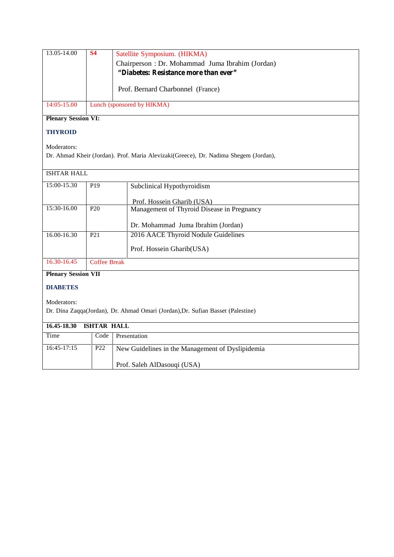| 13.05-14.00                | <b>S4</b> | Satellite Symposium. (HIKMA)<br>Chairperson : Dr. Mohammad Juma Ibrahim (Jordan)<br>"Diabetes: Resistance more than ever" |
|----------------------------|-----------|---------------------------------------------------------------------------------------------------------------------------|
|                            |           | Prof. Bernard Charbonnel (France)                                                                                         |
| 14:05-15.00                |           | Lunch (sponsored by HIKMA)                                                                                                |
| <b>Plenary Session VI:</b> |           |                                                                                                                           |

## **THYROID**

Moderators:

Dr. Ahmad Kheir (Jordan). Prof. Maria Alevizaki(Greece), Dr. Nadima Shegem (Jordan),

| <b>ISHTAR HALL</b>         |                     |                                                                                 |  |
|----------------------------|---------------------|---------------------------------------------------------------------------------|--|
| 15:00-15.30                | P <sub>19</sub>     | Subclinical Hypothyroidism                                                      |  |
|                            |                     | Prof. Hossein Gharib (USA)                                                      |  |
| 15:30-16.00                | P <sub>20</sub>     | Management of Thyroid Disease in Pregnancy                                      |  |
|                            |                     | Dr. Mohammad Juma Ibrahim (Jordan)                                              |  |
| 16.00-16.30                | P <sub>21</sub>     | 2016 AACE Thyroid Nodule Guidelines                                             |  |
|                            |                     | Prof. Hossein Gharib(USA)                                                       |  |
| 16.30-16.45                | <b>Coffee Break</b> |                                                                                 |  |
| <b>Plenary Session VII</b> |                     |                                                                                 |  |
| <b>DIABETES</b>            |                     |                                                                                 |  |
| Moderators:                |                     |                                                                                 |  |
|                            |                     | Dr. Dina Zaqqa(Jordan), Dr. Ahmad Omari (Jordan), Dr. Sufian Basset (Palestine) |  |
| 16.45-18.30                | <b>ISHTAR HALL</b>  |                                                                                 |  |
| Time                       | Code                | Presentation                                                                    |  |
| $16:45-17:15$              | P <sub>22</sub>     | New Guidelines in the Management of Dyslipidemia                                |  |
|                            |                     | Prof. Saleh AlDasouqi (USA)                                                     |  |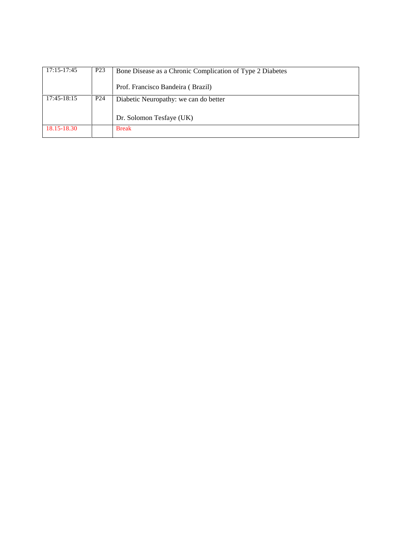| 17:15-17:45 | P <sub>23</sub> | Bone Disease as a Chronic Complication of Type 2 Diabetes |
|-------------|-----------------|-----------------------------------------------------------|
|             |                 | Prof. Francisco Bandeira (Brazil)                         |
| 17:45-18:15 | P <sub>24</sub> | Diabetic Neuropathy: we can do better                     |
|             |                 | Dr. Solomon Tesfaye (UK)                                  |
| 18.15-18.30 |                 | <b>Break</b>                                              |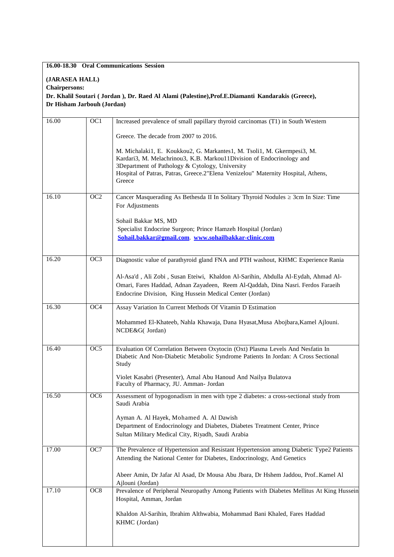#### **16.00-18.30 Oral Communications Session**

#### **(JARASEA HALL)**

**Chairpersons:**

**Dr. Khalil Soutari ( Jordan ), Dr. Raed Al Alami (Palestine),Prof.E.Diamanti Kandarakis (Greece), Dr Hisham Jarbouh (Jordan)**

| 16.00 | $\overline{OC1}$ | Increased prevalence of small papillary thyroid carcinomas (T1) in South Western                                                                                                                                                                                                                   |
|-------|------------------|----------------------------------------------------------------------------------------------------------------------------------------------------------------------------------------------------------------------------------------------------------------------------------------------------|
|       |                  | Greece. The decade from 2007 to 2016.                                                                                                                                                                                                                                                              |
|       |                  | M. Michalaki1, E. Koukkou2, G. Markantes1, M. Tsoli1, M. Gkermpesi3, M.<br>Kardari3, M. Melachrinou3, K.B. Markou11Division of Endocrinology and<br>3Department of Pathology & Cytology, University<br>Hospital of Patras, Patras, Greece.2"Elena Venizelou" Maternity Hospital, Athens,<br>Greece |
|       |                  |                                                                                                                                                                                                                                                                                                    |
| 16.10 | OC2              | Cancer Masquerading As Bethesda II In Solitary Thyroid Nodules 3cm In Size: Time<br>For Adjustments                                                                                                                                                                                                |
|       |                  | Sohail Bakkar MS, MD                                                                                                                                                                                                                                                                               |
|       |                  | Specialist Endocrine Surgeon; Prince Hamzeh Hospital (Jordan)                                                                                                                                                                                                                                      |
|       |                  | Sohail.bakkar@gmail.com. www.sohailbakkar-clinic.com                                                                                                                                                                                                                                               |
| 16.20 | OC3              | Diagnostic value of parathyroid gland FNA and PTH washout, KHMC Experience Rania                                                                                                                                                                                                                   |
|       |                  |                                                                                                                                                                                                                                                                                                    |
|       |                  | Al-Asa'd, Ali Zobi, Susan Eteiwi, Khaldon Al-Sarihin, Abdulla Al-Eydah, Ahmad Al-<br>Omari, Fares Haddad, Adnan Zayadeen, Reem Al-Qaddah, Dina Nasri. Ferdos Faraeih                                                                                                                               |
|       |                  | Endocrine Division, King Hussein Medical Center (Jordan)                                                                                                                                                                                                                                           |
| 16.30 | OC4              | Assay Variation In Current Methods Of Vitamin D Estimation                                                                                                                                                                                                                                         |
|       |                  | Mohammed El-Khateeb, Nahla Khawaja, Dana Hyasat, Musa Abojbara, Kamel Ajlouni.<br>NCDE&G( Jordan)                                                                                                                                                                                                  |
| 16.40 | OC <sub>5</sub>  | Evaluation Of Correlation Between Oxytocin (Oxt) Plasma Levels And Nesfatin In                                                                                                                                                                                                                     |
|       |                  | Diabetic And Non-Diabetic Metabolic Syndrome Patients In Jordan: A Cross Sectional<br>Study                                                                                                                                                                                                        |
|       |                  | Violet Kasabri (Presenter), Amal Abu Hanoud And Nailya Bulatova<br>Faculty of Pharmacy, JU. Amman- Jordan                                                                                                                                                                                          |
| 16.50 | OC6              | Assessment of hypogonadism in men with type 2 diabetes: a cross-sectional study from<br>Saudi Arabia                                                                                                                                                                                               |
|       |                  | Ayman A. Al Hayek, Mohamed A. Al Dawish                                                                                                                                                                                                                                                            |
|       |                  | Department of Endocrinology and Diabetes, Diabetes Treatment Center, Prince<br>Sultan Military Medical City, Riyadh, Saudi Arabia                                                                                                                                                                  |
| 17.00 | OC7              | The Prevalence of Hypertension and Resistant Hypertension among Diabetic Type2 Patients<br>Attending the National Center for Diabetes, Endocrinology, And Genetics                                                                                                                                 |
|       |                  | Abeer Amin, Dr Jafar Al Asad, Dr Mousa Abu Jbara, Dr Hshem Jaddou, Prof. Kamel Al<br>Ajlouni (Jordan)                                                                                                                                                                                              |
| 17.10 | OC <sub>8</sub>  | Prevalence of Peripheral Neuropathy Among Patients with Diabetes Mellitus At King Hussein                                                                                                                                                                                                          |
|       |                  | Hospital, Amman, Jordan                                                                                                                                                                                                                                                                            |
|       |                  | Khaldon Al-Sarihin, Ibrahim Althwabia, Mohammad Bani Khaled, Fares Haddad<br>KHMC (Jordan)                                                                                                                                                                                                         |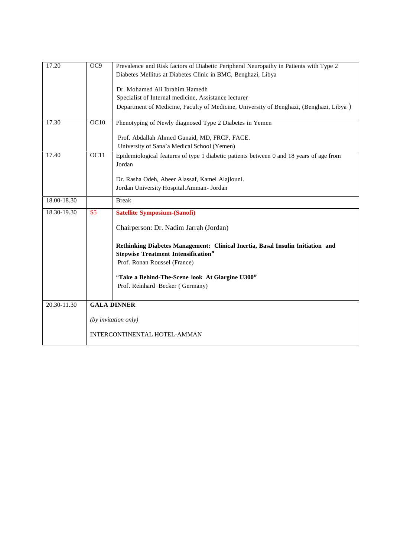| 17.20       | OC9            | Prevalence and Risk factors of Diabetic Peripheral Neuropathy in Patients with Type 2<br>Diabetes Mellitus at Diabetes Clinic in BMC, Benghazi, Libya |
|-------------|----------------|-------------------------------------------------------------------------------------------------------------------------------------------------------|
|             |                | Dr. Mohamed Ali Ibrahim Hamedh                                                                                                                        |
|             |                | Specialist of Internal medicine, Assistance lecturer                                                                                                  |
|             |                | Department of Medicine, Faculty of Medicine, University of Benghazi, (Benghazi, Libya)                                                                |
| 17.30       | OC10           | Phenotyping of Newly diagnosed Type 2 Diabetes in Yemen                                                                                               |
|             |                | Prof. Abdallah Ahmed Gunaid, MD, FRCP, FACE.                                                                                                          |
|             |                | University of Sana'a Medical School (Yemen)                                                                                                           |
| 17.40       | OC11           | Epidemiological features of type 1 diabetic patients between 0 and 18 years of age from<br>Jordan                                                     |
|             |                | Dr. Rasha Odeh, Abeer Alassaf, Kamel Alajlouni.                                                                                                       |
|             |                | Jordan University Hospital.Amman- Jordan                                                                                                              |
| 18.00-18.30 |                | <b>Break</b>                                                                                                                                          |
| 18.30-19.30 | S <sub>5</sub> | <b>Satellite Symposium-(Sanofi)</b>                                                                                                                   |
|             |                | Chairperson: Dr. Nadim Jarrah (Jordan)                                                                                                                |
|             |                | Rethinking Diabetes Management: Clinical Inertia, Basal Insulin Initiation and<br><b>Stepwise Treatment Intensification"</b>                          |
|             |                | Prof. Ronan Roussel (France)                                                                                                                          |
|             |                | "Take a Behind-The-Scene look At Glargine U300"                                                                                                       |
|             |                | Prof. Reinhard Becker (Germany)                                                                                                                       |
| 20.30-11.30 |                | <b>GALA DINNER</b>                                                                                                                                    |
|             |                | (by invitation only)                                                                                                                                  |
|             |                | INTERCONTINENTAL HOTEL-AMMAN                                                                                                                          |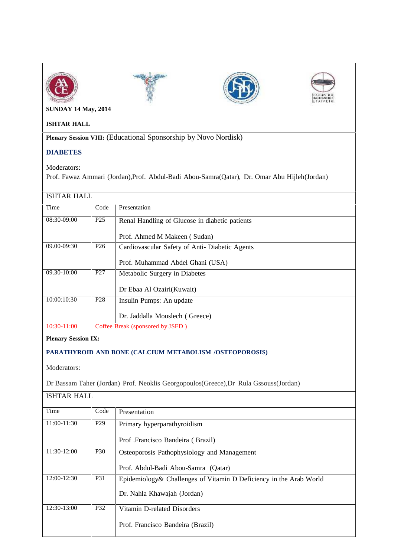







## **SUNDAY 14 May, 2014**

### **ISHTAR HALL**

**Plenary Session VIII:** (Educational Sponsorship by Novo Nordisk)

## **DIABETES**

Moderators:

Prof. Fawaz Ammari (Jordan),Prof. Abdul-Badi Abou-Samra(Qatar), Dr. Omar Abu Hijleh(Jordan)

## ISHTAR HALL

| Time            | Code            | Presentation                                   |  |
|-----------------|-----------------|------------------------------------------------|--|
| 08:30-09:00     | P <sub>25</sub> | Renal Handling of Glucose in diabetic patients |  |
|                 |                 | Prof. Ahmed M Makeen (Sudan)                   |  |
| 09.00-09:30     | P <sub>26</sub> | Cardiovascular Safety of Anti- Diabetic Agents |  |
|                 |                 | Prof. Muhammad Abdel Ghani (USA)               |  |
| $09.30 - 10:00$ | P <sub>27</sub> | Metabolic Surgery in Diabetes                  |  |
|                 |                 | Dr Ebaa Al Ozairi (Kuwait)                     |  |
| 10:00:10:30     | P <sub>28</sub> | Insulin Pumps: An update                       |  |
|                 |                 | Dr. Jaddalla Mouslech (Greece)                 |  |
| $10:30-11:00$   |                 | Coffee Break (sponsored by JSED)               |  |

**Plenary Session IX:**

## **PARATHYROID AND BONE (CALCIUM METABOLISM /OSTEOPOROSIS)**

Moderators:

Dr Bassam Taher (Jordan) Prof. Neoklis Georgopoulos(Greece),Dr Rula Gssouss(Jordan)

ISHTAR HALL

| Time          | Code            | Presentation                                                                                       |  |
|---------------|-----------------|----------------------------------------------------------------------------------------------------|--|
| $11:00-11:30$ | P <sub>29</sub> | Primary hyperparathyroidism                                                                        |  |
|               |                 | Prof. Francisco Bandeira (Brazil)                                                                  |  |
| 11:30-12:00   | P <sub>30</sub> | Osteoporosis Pathophysiology and Management                                                        |  |
|               |                 | Prof. Abdul-Badi Abou-Samra (Qatar)                                                                |  |
| 12:00-12:30   | <b>P31</b>      | Epidemiology & Challenges of Vitamin D Deficiency in the Arab World<br>Dr. Nahla Khawajah (Jordan) |  |
| 12:30-13:00   | P32             | Vitamin D-related Disorders<br>Prof. Francisco Bandeira (Brazil)                                   |  |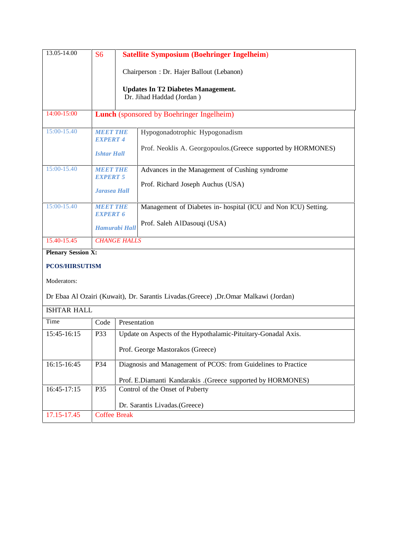| 13.05-14.00               | S <sub>6</sub>               | <b>Satellite Symposium (Boehringer Ingelheim)</b>                      |
|---------------------------|------------------------------|------------------------------------------------------------------------|
|                           |                              | Chairperson: Dr. Hajer Ballout (Lebanon)                               |
|                           |                              | <b>Updates In T2 Diabetes Management.</b><br>Dr. Jihad Haddad (Jordan) |
| 14:00-15:00               |                              | <b>Lunch</b> (sponsored by Boehringer Ingelheim)                       |
| $15:00-15.40$             | МЕНТ ТНЕ<br><b>EXPERT 4</b>  | Hypogonadotrophic Hypogonadism                                         |
|                           | <b>Ishtar Hall</b>           | Prof. Neoklis A. Georgopoulos. (Greece supported by HORMONES)          |
| $15:00-15.40$             | МЕНЕТ ТНЕ<br><b>EXPERT 5</b> | Advances in the Management of Cushing syndrome                         |
|                           | <b>Jarasea Hall</b>          | Prof. Richard Joseph Auchus (USA)                                      |
| 15:00-15.40               | МЕНИ ТНЕ<br><b>EXPERT 6</b>  | Management of Diabetes in- hospital (ICU and Non ICU) Setting.         |
|                           | Hamurabi Hall                | Prof. Saleh AlDasouqi (USA)                                            |
| 15.40-15.45               | <b>CHANGE HALLS</b>          |                                                                        |
| <b>Plenary Session X:</b> |                              |                                                                        |

**Plenary Session X:**

## **PCOS/HIRSUTISM**

Moderators:

Dr Ebaa Al Ozairi (Kuwait), Dr. Sarantis Livadas.(Greece) ,Dr.Omar Malkawi (Jordan)

| <b>ISHTAR HALL</b> |              |                                                                                                                                 |
|--------------------|--------------|---------------------------------------------------------------------------------------------------------------------------------|
| Time               | Code         | Presentation                                                                                                                    |
| $15:45-16:15$      | <b>P33</b>   | Update on Aspects of the Hypothalamic-Pituitary-Gonadal Axis.<br>Prof. George Mastorakos (Greece)                               |
| $16:15-16:45$      | P34          | Diagnosis and Management of PCOS: from Guidelines to Practice<br>(Greece supported by HORMONES). (Greece supported by HORMONES) |
| $16:45-17:15$      | <b>P35</b>   | Control of the Onset of Puberty<br>Dr. Sarantis Livadas. (Greece)                                                               |
| 17.15-17.45        | Coffee Break |                                                                                                                                 |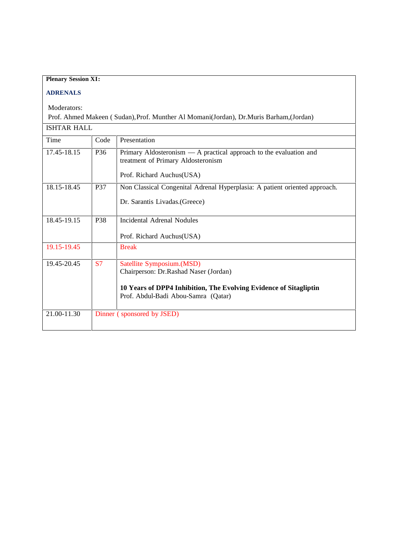| <b>Plenary Session XI:</b> |                 |                                                                                                          |
|----------------------------|-----------------|----------------------------------------------------------------------------------------------------------|
|                            |                 |                                                                                                          |
| <b>ADRENALS</b>            |                 |                                                                                                          |
| Moderators:                |                 |                                                                                                          |
|                            |                 | Prof. Ahmed Makeen (Sudan), Prof. Munther Al Momani(Jordan), Dr.Muris Barham, (Jordan)                   |
| <b>ISHTAR HALL</b>         |                 |                                                                                                          |
| Time                       | Code            | Presentation                                                                                             |
| 17.45-18.15                | P <sub>36</sub> | Primary Aldosteronism — A practical approach to the evaluation and<br>treatment of Primary Aldosteronism |
|                            |                 | Prof. Richard Auchus(USA)                                                                                |
| 18.15-18.45                | <b>P37</b>      | Non Classical Congenital Adrenal Hyperplasia: A patient oriented approach.                               |
|                            |                 | Dr. Sarantis Livadas. (Greece)                                                                           |
| 18.45-19.15                | P38             | Incidental Adrenal Nodules                                                                               |
|                            |                 | Prof. Richard Auchus(USA)                                                                                |
| 19.15-19.45                |                 | <b>Break</b>                                                                                             |
| 19.45-20.45                | <b>S7</b>       | Satellite Symposium.(MSD)<br>Chairperson: Dr.Rashad Naser (Jordan)                                       |
|                            |                 | 10 Years of DPP4 Inhibition, The Evolving Evidence of Sitagliptin<br>Prof. Abdul-Badi Abou-Samra (Qatar) |
| 21.00-11.30                |                 | Dinner (sponsored by JSED)                                                                               |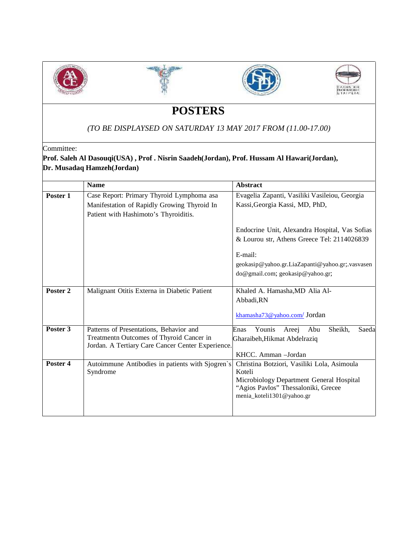







## **POSTERS**

## *(TO BE DISPLAYSED ON SATURDAY 13 MAY 2017 FROM (11.00-17.00)*

Committee:

## **Prof. Saleh Al Dasouqi(USA) , Prof . Nisrin Saadeh(Jordan), Prof. Hussam Al Hawari(Jordan), Dr. Musadaq Hamzeh(Jordan)**

|          | <b>Name</b>                                                                                                                              | <b>Abstract</b>                                                                                                                                                       |  |
|----------|------------------------------------------------------------------------------------------------------------------------------------------|-----------------------------------------------------------------------------------------------------------------------------------------------------------------------|--|
| Poster 1 | Case Report: Primary Thyroid Lymphoma asa<br>Manifestation of Rapidly Growing Thyroid In<br>Patient with Hashimoto's Thyroiditis.        | Evagelia Zapanti, Vasiliki Vasileiou, Georgia<br>Kassi, Georgia Kassi, MD, PhD,                                                                                       |  |
|          |                                                                                                                                          | Endocrine Unit, Alexandra Hospital, Vas Sofias<br>& Lourou str, Athens Greece Tel: 2114026839                                                                         |  |
|          |                                                                                                                                          | E-mail:<br>geokasip@yahoo.gr.LiaZapanti@yahoo.gr;.vasvasen<br>do@gmail.com; geokasip@yahoo.gr;                                                                        |  |
| Poster 2 | Malignant Otitis Externa in Diabetic Patient                                                                                             | Khaled A. Hamasha, MD Alia Al-<br>Abbadi, RN<br>khamasha73@yahoo.com/Jordan                                                                                           |  |
| Poster 3 | Patterns of Presentations, Behavior and<br>Treatmentn Outcomes of Thyroid Cancer in<br>Jordan. A Tertiary Care Cancer Center Experience. | Younis<br>Enas<br>Areej<br>Abu<br>Sheikh,<br>Saeda<br>Gharaibeh, Hikmat Abdelraziq<br>KHCC. Amman -Jordan                                                             |  |
| Poster 4 | Autoimmune Antibodies in patients with Sjogren's<br>Syndrome                                                                             | Christina Botziori, Vasiliki Lola, Asimoula<br>Koteli<br>Microbiology Department General Hospital<br>"Agios Pavlos" Thessaloniki, Grecee<br>menia_koteli1301@yahoo.gr |  |